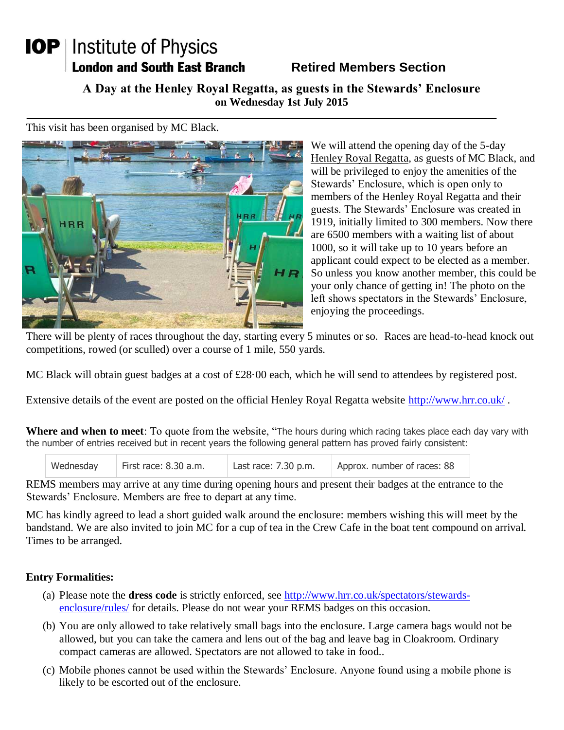## **IOP** | Institute of Physics **London and South East Branch**

## **Retired Members Section**

**A Day at the Henley Royal Regatta, as guests in the Stewards' Enclosure on Wednesday 1st July 2015**

This visit has been organised by MC Black.



We will attend the opening day of the 5-day Henley Royal Regatta, as guests of MC Black, and will be privileged to enjoy the amenities of the Stewards' Enclosure, which is open only to members of the Henley Royal Regatta and their guests. The Stewards' Enclosure was created in 1919, initially limited to 300 members. Now there are 6500 members with a waiting list of about 1000, so it will take up to 10 years before an applicant could expect to be elected as a member. So unless you know another member, this could be your only chance of getting in! The photo on the left shows spectators in the Stewards' Enclosure, enjoying the proceedings.

There will be plenty of races throughout the day, starting every 5 minutes or so. Races are head-to-head knock out competitions, rowed (or sculled) over a course of 1 mile, 550 yards.

MC Black will obtain guest badges at a cost of £28.00 each, which he will send to attendees by registered post.

Extensive details of the event are posted on the official Henley Royal Regatta website<http://www.hrr.co.uk/>.

**Where and when to meet**: To quote from the website, "The hours during which racing takes place each day vary with the number of entries received but in recent years the following general pattern has proved fairly consistent:

| Wednesday | First race: 8.30 a.m. | Last race: $7.30$ p.m. | Approx. number of races: 88 |
|-----------|-----------------------|------------------------|-----------------------------|
|           |                       |                        |                             |

REMS members may arrive at any time during opening hours and present their badges at the entrance to the Stewards' Enclosure. Members are free to depart at any time.

MC has kindly agreed to lead a short guided walk around the enclosure: members wishing this will meet by the bandstand. We are also invited to join MC for a cup of tea in the Crew Cafe in the boat tent compound on arrival. Times to be arranged.

## **Entry Formalities:**

- (a) Please note the **dress code** is strictly enforced, see [http://www.hrr.co.uk/spectators/stewards](http://www.hrr.co.uk/spectators/stewards-enclosure/rules/)[enclosure/rules/](http://www.hrr.co.uk/spectators/stewards-enclosure/rules/) for details. Please do not wear your REMS badges on this occasion.
- (b) You are only allowed to take relatively small bags into the enclosure. Large camera bags would not be allowed, but you can take the camera and lens out of the bag and leave bag in Cloakroom. Ordinary compact cameras are allowed. Spectators are not allowed to take in food..
- (c) Mobile phones cannot be used within the Stewards' Enclosure. Anyone found using a mobile phone is likely to be escorted out of the enclosure.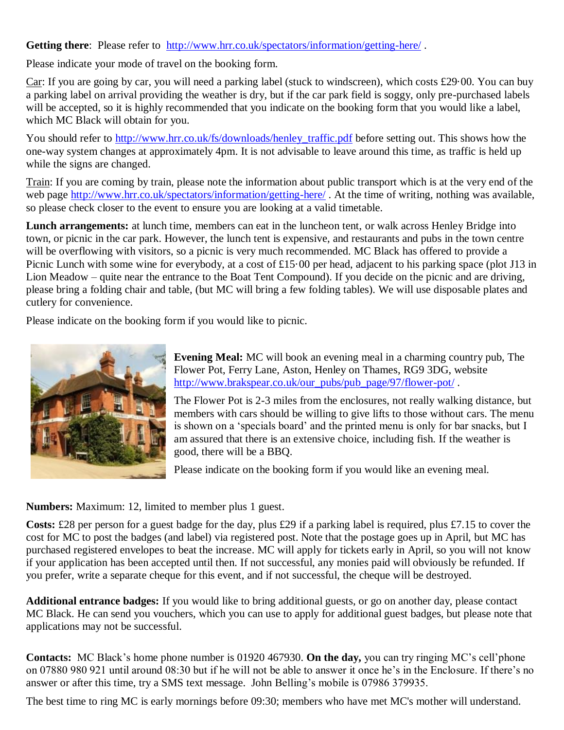Getting there: Please refer to <http://www.hrr.co.uk/spectators/information/getting-here/>.

Please indicate your mode of travel on the booking form.

Car: If you are going by car, you will need a parking label (stuck to windscreen), which costs £29·00. You can buy a parking label on arrival providing the weather is dry, but if the car park field is soggy, only pre-purchased labels will be accepted, so it is highly recommended that you indicate on the booking form that you would like a label, which MC Black will obtain for you.

You should refer to [http://www.hrr.co.uk/fs/downloads/henley\\_traffic.pdf](http://www.hrr.co.uk/fs/downloads/henley_traffic.pdf) before setting out. This shows how the one-way system changes at approximately 4pm. It is not advisable to leave around this time, as traffic is held up while the signs are changed.

Train: If you are coming by train, please note the information about public transport which is at the very end of the web page<http://www.hrr.co.uk/spectators/information/getting-here/>. At the time of writing, nothing was available, so please check closer to the event to ensure you are looking at a valid timetable.

**Lunch arrangements:** at lunch time, members can eat in the luncheon tent, or walk across Henley Bridge into town, or picnic in the car park. However, the lunch tent is expensive, and restaurants and pubs in the town centre will be overflowing with visitors, so a picnic is very much recommended. MC Black has offered to provide a Picnic Lunch with some wine for everybody, at a cost of £15.00 per head, adjacent to his parking space (plot J13 in Lion Meadow – quite near the entrance to the Boat Tent Compound). If you decide on the picnic and are driving, please bring a folding chair and table, (but MC will bring a few folding tables). We will use disposable plates and cutlery for convenience.

Please indicate on the booking form if you would like to picnic.



**Evening Meal:** MC will book an evening meal in a charming country pub, The Flower Pot, Ferry Lane, Aston, Henley on Thames, RG9 3DG, website [http://www.brakspear.co.uk/our\\_pubs/pub\\_page/97/flower-pot/](http://www.brakspear.co.uk/our_pubs/pub_page/97/flower-pot/) .

The Flower Pot is 2-3 miles from the enclosures, not really walking distance, but members with cars should be willing to give lifts to those without cars. The menu is shown on a 'specials board' and the printed menu is only for bar snacks, but I am assured that there is an extensive choice, including fish. If the weather is good, there will be a BBQ.

Please indicate on the booking form if you would like an evening meal.

**Numbers:** Maximum: 12, limited to member plus 1 guest.

**Costs:** £28 per person for a guest badge for the day, plus £29 if a parking label is required, plus £7.15 to cover the cost for MC to post the badges (and label) via registered post. Note that the postage goes up in April, but MC has purchased registered envelopes to beat the increase. MC will apply for tickets early in April, so you will not know if your application has been accepted until then. If not successful, any monies paid will obviously be refunded. If you prefer, write a separate cheque for this event, and if not successful, the cheque will be destroyed.

**Additional entrance badges:** If you would like to bring additional guests, or go on another day, please contact MC Black. He can send you vouchers, which you can use to apply for additional guest badges, but please note that applications may not be successful.

**Contacts:** MC Black's home phone number is 01920 467930. **On the day,** you can try ringing MC's cell'phone on 07880 980 921 until around 08:30 but if he will not be able to answer it once he's in the Enclosure. If there's no answer or after this time, try a SMS text message. John Belling's mobile is 07986 379935.

The best time to ring MC is early mornings before 09:30; members who have met MC's mother will understand.